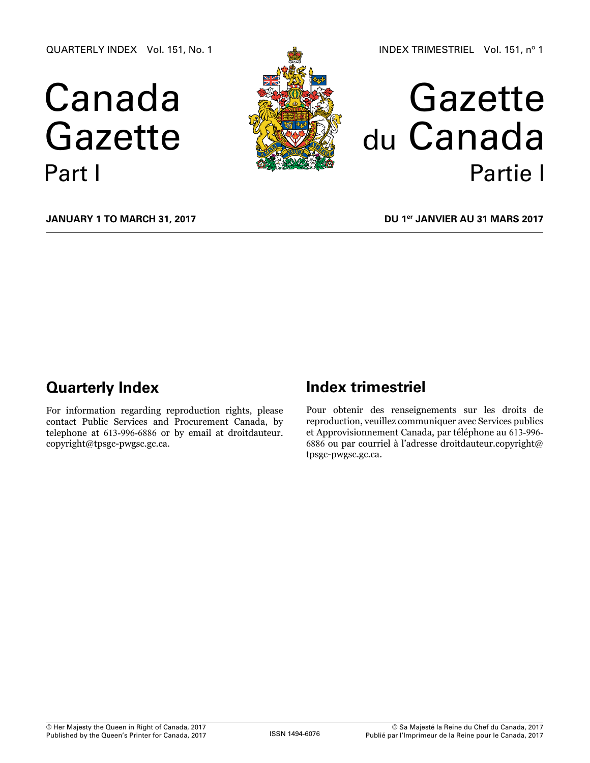QUARTERLY INDEX Vol. 151, No. 1

# Canada Gazette Part I



# Gazette du Canada Partie I

**January 1 to March 31, 2017**

**DU 1er janvier au 31 mars 2017**

# **Quarterly Index**

For information regarding reproduction rights, please contact Public Services and Procurement Canada, by telephone at 613-996-6886 or by email at [droitdauteur.](mailto:droitdauteur.copyright%40tpsgc-pwgsc.gc.ca?subject=) [copyright@tpsgc-pwgsc.gc.ca.](mailto:droitdauteur.copyright%40tpsgc-pwgsc.gc.ca?subject=)

# **Index trimestriel**

Pour obtenir des renseignements sur les droits de reproduction, veuillez communiquer avec Services publics et Approvisionnement Canada, par téléphone au 613-996- 6886 ou par courriel à l'adresse [droitdauteur.copyright@](mailto:droitdauteur.copyright%40tpsgc-pwgsc.gc.ca?subject=) [tpsgc-pwgsc.gc.ca](mailto:droitdauteur.copyright%40tpsgc-pwgsc.gc.ca?subject=).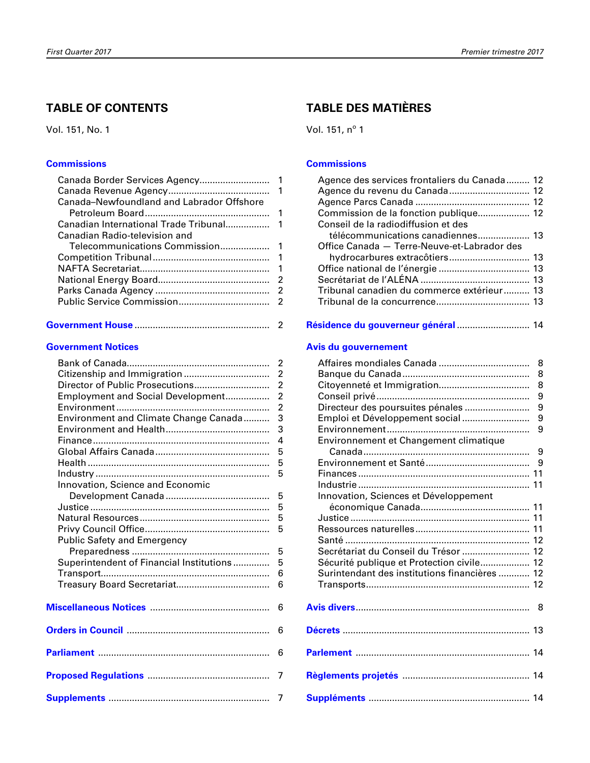## **taBLe oF contents**

Vol. 151, No. 1

#### **[commissions](#page-2-0)**

| Canada-Newfoundland and Labrador Offshore |    |
|-------------------------------------------|----|
|                                           |    |
|                                           |    |
| Canadian Radio-television and             |    |
|                                           |    |
|                                           |    |
|                                           | -1 |
|                                           |    |
|                                           |    |
|                                           |    |
|                                           |    |

|--|--|

#### **Government Notices**

|                                                       | $\overline{2}$ |
|-------------------------------------------------------|----------------|
|                                                       | $\overline{2}$ |
|                                                       | $\overline{c}$ |
| Employment and Social Development                     | $\overline{c}$ |
|                                                       | $\overline{2}$ |
| Environment and Climate Change Canada                 | 3              |
|                                                       | 3              |
|                                                       | $\overline{4}$ |
|                                                       | 5              |
|                                                       | 5              |
|                                                       | 5              |
| Innovation, Science and Economic                      |                |
|                                                       | 5              |
|                                                       | 5              |
|                                                       | 5              |
|                                                       | 5              |
| Public Safety and Emergency                           |                |
|                                                       | 5              |
| Superintendent of Financial Institutions              | 5              |
|                                                       | 6              |
|                                                       | 6              |
|                                                       |                |
| Miscellaneous Notices <b>Miscellers</b> Miscellaneous | 6              |
|                                                       |                |
|                                                       | 6              |
|                                                       |                |
|                                                       | 6              |
|                                                       |                |
|                                                       | 7              |
|                                                       |                |
|                                                       | $\overline{7}$ |

## **taBLe Des matIÈres**

Vol. 151, nº 1

#### **[commissions](#page-13-0)**

| Agence des services frontaliers du Canada  12 |  |
|-----------------------------------------------|--|
|                                               |  |
|                                               |  |
| Commission de la fonction publique 12         |  |
| Conseil de la radiodiffusion et des           |  |
| télécommunications canadiennes 13             |  |
| Office Canada - Terre-Neuve-et-Labrador des   |  |
| hydrocarbures extracôtiers 13                 |  |
|                                               |  |
|                                               |  |
| Tribunal canadien du commerce extérieur 13    |  |
|                                               |  |
|                                               |  |

**[résidence du gouverneur général](#page-15-0)** ............................ 14

#### **[avis du gouvernement](#page-9-0)**

| Directeur des poursuites pénales<br>Emploi et Développement social | 8<br>8<br>8<br>9<br>9<br>9<br>9 |
|--------------------------------------------------------------------|---------------------------------|
| Environnement et Changement climatique                             | 9                               |
|                                                                    | 9                               |
| Innovation, Sciences et Développement                              |                                 |
|                                                                    |                                 |
|                                                                    |                                 |
|                                                                    |                                 |
| Secrétariat du Conseil du Trésor  12                               |                                 |
| Sécurité publique et Protection civile 12                          |                                 |
| Surintendant des institutions financières  12                      |                                 |
|                                                                    |                                 |
|                                                                    | 8                               |
|                                                                    |                                 |
|                                                                    |                                 |
|                                                                    |                                 |
|                                                                    |                                 |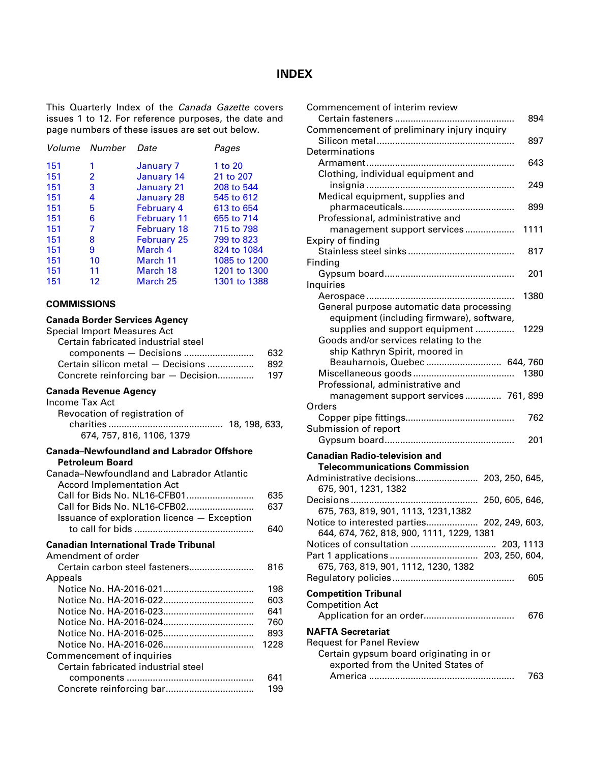#### **INDEX**

<span id="page-2-0"></span>This Quarterly Index of the *Canada Gazette* covers issues 1 to 12. For reference purposes, the date and page numbers of these issues are set out below.

| Volume | Number | Date               | Pages        |
|--------|--------|--------------------|--------------|
| 151    | 1      | January 7          | 1 to 20      |
| 151    | 2      | January 14         | 21 to 207    |
| 151    | 3      | <b>January 21</b>  | 208 to 544   |
| 151    | 4      | <b>January 28</b>  | 545 to 612   |
| 151    | 5      | <b>February 4</b>  | 613 to 654   |
| 151    | 6      | <b>February 11</b> | 655 to 714   |
| 151    | 7      | <b>February 18</b> | 715 to 798   |
| 151    | 8      | <b>February 25</b> | 799 to 823   |
| 151    | 9      | March 4            | 824 to 1084  |
| 151    | 10     | March 11           | 1085 to 1200 |
| 151    | 11     | March 18           | 1201 to 1300 |
| 151    | 12     | March 25           | 1301 to 1388 |

#### **COMMISSIONS**

#### **Canada Border Services Agency**

| anaua Doruci Ocrvices Agency<br><b>Special Import Measures Act</b><br>Certain fabricated industrial steel<br>components - Decisions<br>Certain silicon metal - Decisions<br>Concrete reinforcing bar - Decision | 632<br>892<br>197 |
|-----------------------------------------------------------------------------------------------------------------------------------------------------------------------------------------------------------------|-------------------|
| <b>Canada Revenue Agency</b><br>Income Tax Act<br>Revocation of registration of<br>674, 757, 816, 1106, 1379                                                                                                    |                   |
| <b>Canada-Newfoundland and Labrador Offshore</b><br><b>Petroleum Board</b><br>Canada-Newfoundland and Labrador Atlantic<br><b>Accord Implementation Act</b>                                                     |                   |
| Call for Bids No. NL16-CFB01                                                                                                                                                                                    | 635               |
| Call for Bids No. NL16-CFB02                                                                                                                                                                                    | 637               |
| Issuance of exploration licence - Exception                                                                                                                                                                     | 640               |
| <b>Canadian International Trade Tribunal</b>                                                                                                                                                                    |                   |
| Amendment of order                                                                                                                                                                                              |                   |
| Certain carbon steel fasteners                                                                                                                                                                                  | 816               |
| Appeals                                                                                                                                                                                                         | 198               |
|                                                                                                                                                                                                                 | 603               |
|                                                                                                                                                                                                                 | 641               |
|                                                                                                                                                                                                                 | 760               |
|                                                                                                                                                                                                                 | 893               |
|                                                                                                                                                                                                                 | 1228              |
| Commencement of inquiries                                                                                                                                                                                       |                   |
| Certain fabricated industrial steel                                                                                                                                                                             |                   |

components ................................................. 641 Concrete reinforcing bar.................................. 199

| Commencement of interim review                                               |      |
|------------------------------------------------------------------------------|------|
| Certain fasteners                                                            | 894  |
| Commencement of preliminary injury inquiry                                   |      |
|                                                                              | 897  |
| Determinations                                                               |      |
|                                                                              | 643  |
| Clothing, individual equipment and                                           | 249  |
| Medical equipment, supplies and                                              |      |
|                                                                              | 899  |
| Professional, administrative and                                             |      |
| management support services                                                  | 1111 |
| Expiry of finding                                                            |      |
|                                                                              | 817  |
| Finding                                                                      |      |
|                                                                              | 201  |
| Inquiries                                                                    |      |
|                                                                              | 1380 |
| General purpose automatic data processing                                    |      |
| equipment (including firmware), software,                                    |      |
| supplies and support equipment                                               | 1229 |
| Goods and/or services relating to the                                        |      |
| ship Kathryn Spirit, moored in                                               |      |
| Beauharnois, Quebec  644, 760                                                |      |
|                                                                              | 1380 |
| Professional, administrative and                                             |      |
| management support services 761, 899<br>Orders                               |      |
|                                                                              | 762  |
| Submission of report                                                         |      |
|                                                                              | 201  |
|                                                                              |      |
| <b>Canadian Radio-television and</b><br><b>Telecommunications Commission</b> |      |
| Administrative decisions 203, 250, 645,                                      |      |
| 675, 901, 1231, 1382                                                         |      |
| 250, 605, 646,<br>.                                                          |      |
| 675, 763, 819, 901, 1113, 1231, 1382                                         |      |
|                                                                              |      |
|                                                                              |      |
| Notice to interested parties 202, 249, 603,                                  |      |
| 644, 674, 762, 818, 900, 1111, 1229, 1381                                    |      |
|                                                                              |      |
| 675, 763, 819, 901, 1112, 1230, 1382                                         |      |
|                                                                              | 605  |
|                                                                              |      |
| <b>Competition Tribunal</b>                                                  |      |
| <b>Competition Act</b>                                                       | 676  |
|                                                                              |      |
| <b>NAFTA Secretariat</b>                                                     |      |
| <b>Request for Panel Review</b>                                              |      |
| Certain gypsum board originating in or                                       |      |
| exported from the United States of                                           | 763  |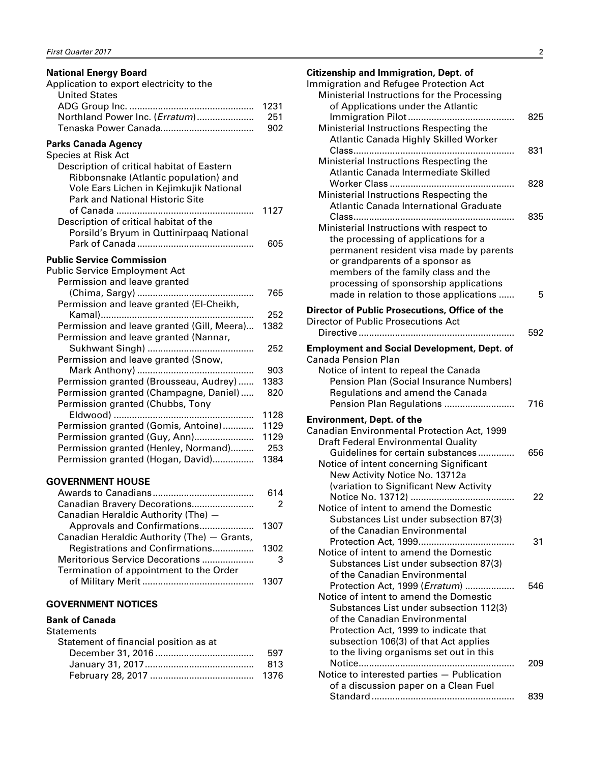<span id="page-3-0"></span>

| <b>National Energy Board</b><br>Application to export electricity to the<br><b>United States</b>                                                                                                                    |                                     |
|---------------------------------------------------------------------------------------------------------------------------------------------------------------------------------------------------------------------|-------------------------------------|
| Northland Power Inc. (Erratum)                                                                                                                                                                                      | 1231<br>251<br>902                  |
| Parks Canada Agency<br>Species at Risk Act<br>Description of critical habitat of Eastern<br>Ribbonsnake (Atlantic population) and<br>Vole Ears Lichen in Kejimkujik National<br>Park and National Historic Site<br> | 1127                                |
| Description of critical habitat of the<br>Porsild's Bryum in Quttinirpaaq National                                                                                                                                  | 605                                 |
| <b>Public Service Commission</b><br><b>Public Service Employment Act</b><br>Permission and leave granted                                                                                                            |                                     |
| (Chima, Sargy)<br>Permission and leave granted (EI-Cheikh,                                                                                                                                                          | 765                                 |
| Permission and leave granted (Gill, Meera)<br>Permission and leave granted (Nannar,                                                                                                                                 | 252<br>1382                         |
| Permission and leave granted (Snow,                                                                                                                                                                                 | 252                                 |
| Permission granted (Brousseau, Audrey)<br>Permission granted (Champagne, Daniel)<br>Permission granted (Chubbs, Tony                                                                                                | 903<br>1383<br>820                  |
| Permission granted (Gomis, Antoine)<br>Permission granted (Guy, Ann)<br>Permission granted (Henley, Normand)<br>Permission granted (Hogan, David)                                                                   | 1128<br>1129<br>1129<br>253<br>1384 |
| <b>GOVERNMENT HOUSE</b>                                                                                                                                                                                             |                                     |
| Canadian Bravery Decorations<br>Canadian Heraldic Authority (The) -                                                                                                                                                 | 614<br>$\overline{c}$               |
| Approvals and Confirmations<br>Canadian Heraldic Authority (The) - Grants,                                                                                                                                          | 1307                                |
| Registrations and Confirmations<br>Meritorious Service Decorations<br>Termination of appointment to the Order                                                                                                       | 1302<br>3                           |
|                                                                                                                                                                                                                     | 1307                                |
| <b>GOVERNMENT NOTICES</b><br><b>Bank of Canada</b>                                                                                                                                                                  |                                     |
| Statements<br>Statement of financial position as at                                                                                                                                                                 |                                     |

| 597  |
|------|
| -813 |
|      |

| <b>Citizenship and Immigration, Dept. of</b><br>Immigration and Refugee Protection Act<br>Ministerial Instructions for the Processing                                                                                                                                                      |     |
|--------------------------------------------------------------------------------------------------------------------------------------------------------------------------------------------------------------------------------------------------------------------------------------------|-----|
| of Applications under the Atlantic<br>Ministerial Instructions Respecting the                                                                                                                                                                                                              | 825 |
| <b>Atlantic Canada Highly Skilled Worker</b><br>Ministerial Instructions Respecting the<br>Atlantic Canada Intermediate Skilled                                                                                                                                                            | 831 |
| Ministerial Instructions Respecting the<br>Atlantic Canada International Graduate                                                                                                                                                                                                          | 828 |
| Ministerial Instructions with respect to<br>the processing of applications for a<br>permanent resident visa made by parents<br>or grandparents of a sponsor as<br>members of the family class and the<br>processing of sponsorship applications                                            | 835 |
| made in relation to those applications                                                                                                                                                                                                                                                     | 5   |
| Director of Public Prosecutions, Office of the<br>Director of Public Prosecutions Act                                                                                                                                                                                                      |     |
|                                                                                                                                                                                                                                                                                            | 592 |
| <b>Employment and Social Development, Dept. of</b><br><b>Canada Pension Plan</b><br>Notice of intent to repeal the Canada<br>Pension Plan (Social Insurance Numbers)<br>Regulations and amend the Canada<br>Pension Plan Regulations                                                       | 716 |
| <b>Environment, Dept. of the</b><br>Canadian Environmental Protection Act, 1999<br><b>Draft Federal Environmental Quality</b>                                                                                                                                                              |     |
| Guidelines for certain substances<br>Notice of intent concerning Significant<br>New Activity Notice No. 13712a<br>(variation to Significant New Activity                                                                                                                                   | 656 |
| Notice No. 13712).<br>Notice of intent to amend the Domestic<br>Substances List under subsection 87(3)<br>of the Canadian Environmental                                                                                                                                                    | 22  |
| Protection Act, 1999<br>Notice of intent to amend the Domestic<br>Substances List under subsection 87(3)<br>of the Canadian Environmental                                                                                                                                                  | 31  |
| Protection Act, 1999 ( <i>Erratum</i> )<br>Notice of intent to amend the Domestic<br>Substances List under subsection 112(3)<br>of the Canadian Environmental<br>Protection Act, 1999 to indicate that<br>subsection 106(3) of that Act applies<br>to the living organisms set out in this | 546 |
| Notice to interested parties - Publication<br>of a discussion paper on a Clean Fuel                                                                                                                                                                                                        | 209 |

Standard....................................................... 839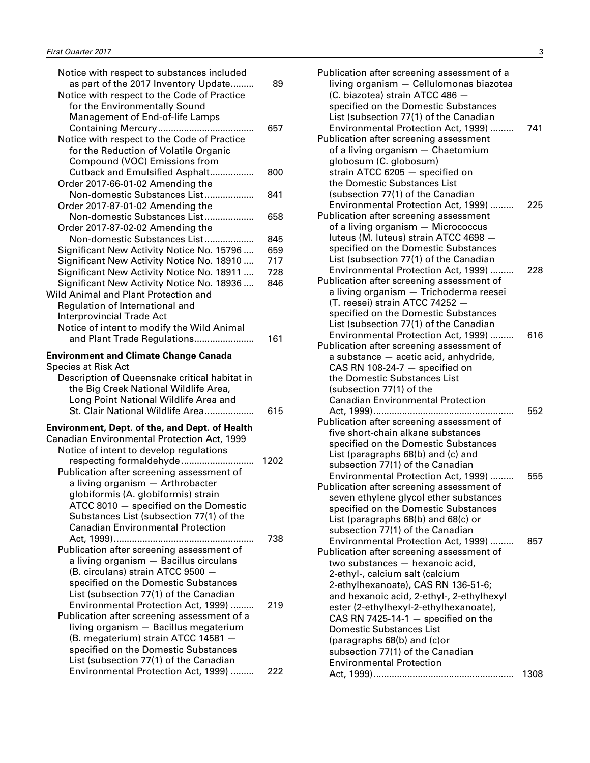| Notice with respect to substances included<br>as part of the 2017 Inventory Update<br>Notice with respect to the Code of Practice | 89   |
|-----------------------------------------------------------------------------------------------------------------------------------|------|
| for the Environmentally Sound<br>Management of End-of-life Lamps                                                                  |      |
|                                                                                                                                   | 657  |
| Notice with respect to the Code of Practice                                                                                       |      |
| for the Reduction of Volatile Organic                                                                                             |      |
| Compound (VOC) Emissions from                                                                                                     |      |
| Cutback and Emulsified Asphalt                                                                                                    | 800  |
| Order 2017-66-01-02 Amending the                                                                                                  |      |
| Non-domestic Substances List                                                                                                      | 841  |
| Order 2017-87-01-02 Amending the                                                                                                  |      |
| Non-domestic Substances List                                                                                                      | 658  |
| Order 2017-87-02-02 Amending the                                                                                                  |      |
| Non-domestic Substances List                                                                                                      | 845  |
| Significant New Activity Notice No. 15796                                                                                         | 659  |
| Significant New Activity Notice No. 18910                                                                                         | 717  |
| Significant New Activity Notice No. 18911                                                                                         | 728  |
| Significant New Activity Notice No. 18936                                                                                         | 846  |
| Wild Animal and Plant Protection and                                                                                              |      |
| Regulation of International and                                                                                                   |      |
| <b>Interprovincial Trade Act</b>                                                                                                  |      |
| Notice of intent to modify the Wild Animal                                                                                        |      |
| and Plant Trade Regulations                                                                                                       | 161  |
|                                                                                                                                   |      |
| <b>Environment and Climate Change Canada</b>                                                                                      |      |
| <b>Species at Risk Act</b>                                                                                                        |      |
| Description of Queensnake critical habitat in                                                                                     |      |
| the Big Creek National Wildlife Area,                                                                                             |      |
| Long Point National Wildlife Area and                                                                                             |      |
| St. Clair National Wildlife Area                                                                                                  | 615  |
| <b>Environment, Dept. of the, and Dept. of Health</b>                                                                             |      |
| Canadian Environmental Protection Act, 1999                                                                                       |      |
| Notice of intent to develop regulations                                                                                           |      |
| respecting formaldehyde                                                                                                           | 1202 |
| Publication after screening assessment of                                                                                         |      |
| a living organism - Arthrobacter                                                                                                  |      |
| globiformis (A. globiformis) strain                                                                                               |      |
| ATCC 8010 - specified on the Domestic                                                                                             |      |
| Substances List (subsection 77(1) of the                                                                                          |      |
| <b>Canadian Environmental Protection</b>                                                                                          |      |
|                                                                                                                                   | 738  |
| Publication after screening assessment of                                                                                         |      |
| a living organism - Bacillus circulans                                                                                            |      |
| (B. circulans) strain ATCC 9500 -                                                                                                 |      |
| specified on the Domestic Substances                                                                                              |      |
| List (subsection 77(1) of the Canadian                                                                                            |      |
| Environmental Protection Act, 1999)                                                                                               | 219  |
| Publication after screening assessment of a                                                                                       |      |
| living organism - Bacillus megaterium                                                                                             |      |
| (B. megaterium) strain ATCC 14581 -                                                                                               |      |
| specified on the Domestic Substances                                                                                              |      |
| List (subsection 77(1) of the Canadian                                                                                            |      |
| Environmental Protection Act, 1999)                                                                                               | 222  |

| Publication after screening assessment of a<br>living organism - Cellulomonas biazotea                                      |      |
|-----------------------------------------------------------------------------------------------------------------------------|------|
| (C. biazotea) strain ATCC 486 -<br>specified on the Domestic Substances<br>List (subsection 77(1) of the Canadian           |      |
| Environmental Protection Act, 1999)<br>Publication after screening assessment<br>of a living organism - Chaetomium          | 741  |
| globosum (C. globosum)<br>strain ATCC 6205 - specified on<br>the Domestic Substances List                                   |      |
| (subsection 77(1) of the Canadian<br>Environmental Protection Act, 1999)                                                    | 225  |
| Publication after screening assessment<br>of a living organism - Micrococcus<br>luteus (M. luteus) strain ATCC 4698 -       |      |
| specified on the Domestic Substances<br>List (subsection 77(1) of the Canadian                                              |      |
| Environmental Protection Act, 1999)<br>Publication after screening assessment of<br>a living organism - Trichoderma reesei  | 228  |
| (T. reesei) strain ATCC 74252 -<br>specified on the Domestic Substances                                                     |      |
| List (subsection 77(1) of the Canadian<br>Environmental Protection Act, 1999)<br>Publication after screening assessment of  | 616  |
| a substance - acetic acid, anhydride,<br>CAS RN 108-24-7 $-$ specified on<br>the Domestic Substances List                   |      |
| (subsection 77(1) of the<br><b>Canadian Environmental Protection</b>                                                        |      |
| Publication after screening assessment of                                                                                   | 552  |
| five short-chain alkane substances<br>specified on the Domestic Substances<br>List (paragraphs 68(b) and (c) and            |      |
| subsection 77(1) of the Canadian<br>Environmental Protection Act, 1999)                                                     | 555  |
| Publication after screening assessment of<br>seven ethylene glycol ether substances<br>specified on the Domestic Substances |      |
| List (paragraphs 68(b) and 68(c) or<br>subsection 77(1) of the Canadian                                                     |      |
| Environmental Protection Act, 1999)<br>Publication after screening assessment of<br>two substances - hexanoic acid,         | 857  |
| 2-ethyl-, calcium salt (calcium<br>2-ethylhexanoate), CAS RN 136-51-6;                                                      |      |
| and hexanoic acid, 2-ethyl-, 2-ethylhexyl<br>ester (2-ethylhexyl-2-ethylhexanoate),                                         |      |
| CAS RN 7425-14-1 $-$ specified on the<br><b>Domestic Substances List</b><br>(paragraphs 68(b) and (c)or                     |      |
| subsection 77(1) of the Canadian<br><b>Environmental Protection</b>                                                         |      |
|                                                                                                                             | 1308 |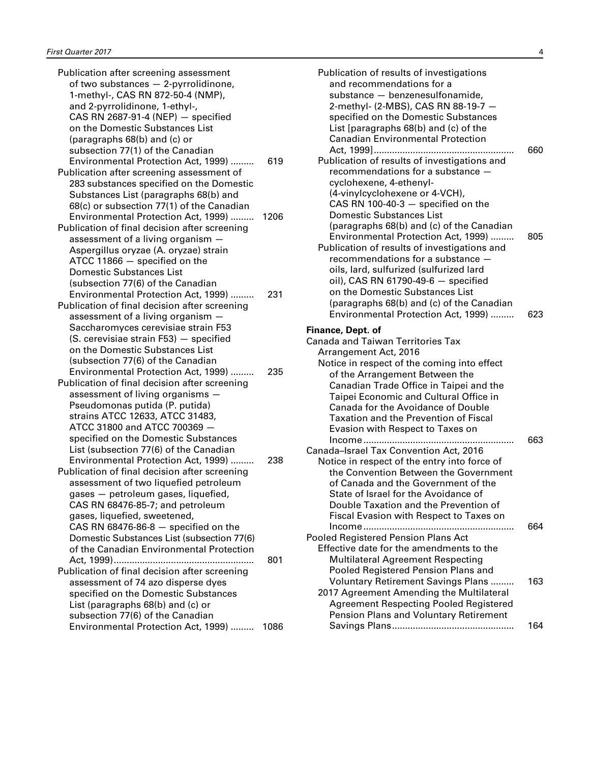| Publication after screening assessment        |      |
|-----------------------------------------------|------|
| of two substances - 2-pyrrolidinone,          |      |
| 1-methyl-, CAS RN 872-50-4 (NMP),             |      |
| and 2-pyrrolidinone, 1-ethyl-,                |      |
| CAS RN 2687-91-4 (NEP) - specified            |      |
| on the Domestic Substances List               |      |
| (paragraphs 68(b) and (c) or                  |      |
| subsection 77(1) of the Canadian              |      |
| Environmental Protection Act, 1999)           | 619  |
| Publication after screening assessment of     |      |
| 283 substances specified on the Domestic      |      |
|                                               |      |
| Substances List (paragraphs 68(b) and         |      |
| 68(c) or subsection 77(1) of the Canadian     |      |
| Environmental Protection Act, 1999)           | 1206 |
| Publication of final decision after screening |      |
| assessment of a living organism a             |      |
| Aspergillus oryzae (A. oryzae) strain         |      |
| ATCC 11866 - specified on the                 |      |
| <b>Domestic Substances List</b>               |      |
| (subsection 77(6) of the Canadian             |      |
| Environmental Protection Act, 1999)           | 231  |
| Publication of final decision after screening |      |
| assessment of a living organism -             |      |
| Saccharomyces cerevisiae strain F53           |      |
| (S. cerevisiae strain F53) - specified        |      |
| on the Domestic Substances List               |      |
| (subsection 77(6) of the Canadian             |      |
| Environmental Protection Act, 1999)           | 235  |
| Publication of final decision after screening |      |
| assessment of living organisms -              |      |
| Pseudomonas putida (P. putida)                |      |
| strains ATCC 12633, ATCC 31483,               |      |
| ATCC 31800 and ATCC 700369 -                  |      |
| specified on the Domestic Substances          |      |
| List (subsection 77(6) of the Canadian        |      |
| Environmental Protection Act, 1999)           | 238  |
| Publication of final decision after screening |      |
| assessment of two liquefied petroleum         |      |
| gases - petroleum gases, liquefied,           |      |
|                                               |      |
| CAS RN 68476-85-7; and petroleum              |      |
| gases, liquefied, sweetened,                  |      |
| CAS RN 68476-86-8 $-$ specified on the        |      |
| Domestic Substances List (subsection 77(6)    |      |
| of the Canadian Environmental Protection      |      |
|                                               | 801  |
| Publication of final decision after screening |      |
| assessment of 74 azo disperse dyes            |      |
| specified on the Domestic Substances          |      |
| List (paragraphs 68(b) and (c) or             |      |
| subsection 77(6) of the Canadian              |      |
| Environmental Protection Act, 1999)           | 1086 |

| Publication of results of investigations<br>and recommendations for a<br>substance - benzenesulfonamide,<br>2-methyl- (2-MBS), CAS RN 88-19-7 -<br>specified on the Domestic Substances<br>List [paragraphs $68(b)$ and $(c)$ of the                                                                                                                                                   |     |
|----------------------------------------------------------------------------------------------------------------------------------------------------------------------------------------------------------------------------------------------------------------------------------------------------------------------------------------------------------------------------------------|-----|
| <b>Canadian Environmental Protection</b><br>Publication of results of investigations and                                                                                                                                                                                                                                                                                               | 660 |
| recommendations for a substance -<br>cyclohexene, 4-ethenyl-<br>(4-vinylcyclohexene or 4-VCH),                                                                                                                                                                                                                                                                                         |     |
| CAS RN 100-40-3 $-$ specified on the<br><b>Domestic Substances List</b>                                                                                                                                                                                                                                                                                                                |     |
| (paragraphs 68(b) and (c) of the Canadian<br>Environmental Protection Act, 1999)<br>Publication of results of investigations and<br>recommendations for a substance -                                                                                                                                                                                                                  | 805 |
| oils, lard, sulfurized (sulfurized lard<br>oil), CAS RN 61790-49-6 $-$ specified<br>on the Domestic Substances List<br>(paragraphs 68(b) and (c) of the Canadian                                                                                                                                                                                                                       |     |
| Environmental Protection Act, 1999)                                                                                                                                                                                                                                                                                                                                                    | 623 |
| Finance, Dept. of<br><b>Canada and Taiwan Territories Tax</b><br>Arrangement Act, 2016<br>Notice in respect of the coming into effect<br>of the Arrangement Between the<br>Canadian Trade Office in Taipei and the<br>Taipei Economic and Cultural Office in<br>Canada for the Avoidance of Double<br><b>Taxation and the Prevention of Fiscal</b><br>Evasion with Respect to Taxes on |     |
| Income<br>Canada-Israel Tax Convention Act, 2016<br>Notice in respect of the entry into force of<br>the Convention Between the Government<br>of Canada and the Government of the<br>State of Israel for the Avoidance of<br>Double Taxation and the Prevention of<br>Fiscal Evasion with Respect to Taxes on                                                                           | 663 |
| Income<br>Pooled Registered Pension Plans Act<br>Effective date for the amendments to the<br><b>Multilateral Agreement Respecting</b><br>Pooled Registered Pension Plans and                                                                                                                                                                                                           | 664 |
| <b>Voluntary Retirement Savings Plans </b><br>2017 Agreement Amending the Multilateral<br><b>Agreement Respecting Pooled Registered</b><br>Pension Plans and Voluntary Retirement                                                                                                                                                                                                      | 163 |
|                                                                                                                                                                                                                                                                                                                                                                                        | 164 |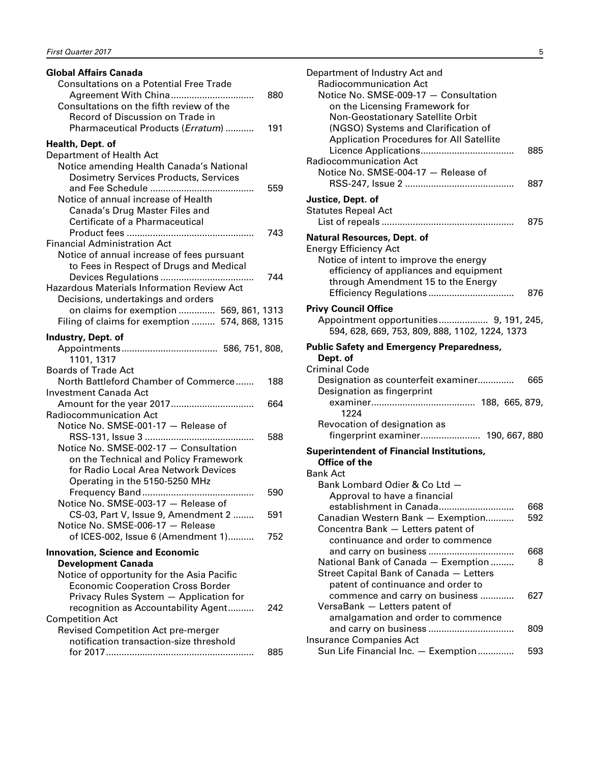| <b>Global Affairs Canada</b>                      |     |
|---------------------------------------------------|-----|
| <b>Consultations on a Potential Free Trade</b>    |     |
|                                                   | 880 |
| Consultations on the fifth review of the          |     |
| Record of Discussion on Trade in                  |     |
| Pharmaceutical Products (Erratum)                 | 191 |
|                                                   |     |
| Health, Dept. of                                  |     |
| Department of Health Act                          |     |
| Notice amending Health Canada's National          |     |
| <b>Dosimetry Services Products, Services</b>      |     |
|                                                   | 559 |
| Notice of annual increase of Health               |     |
| Canada's Drug Master Files and                    |     |
| Certificate of a Pharmaceutical                   |     |
|                                                   | 743 |
| <b>Financial Administration Act</b>               |     |
| Notice of annual increase of fees pursuant        |     |
| to Fees in Respect of Drugs and Medical           |     |
|                                                   | 744 |
| <b>Hazardous Materials Information Review Act</b> |     |
| Decisions, undertakings and orders                |     |
| on claims for exemption  569, 861, 1313           |     |
| Filing of claims for exemption  574, 868, 1315    |     |
| Industry, Dept. of                                |     |
|                                                   |     |
| 1101, 1317                                        |     |
| <b>Boards of Trade Act</b>                        |     |
| North Battleford Chamber of Commerce              | 188 |
| <b>Investment Canada Act</b>                      |     |
| Amount for the year 2017                          | 664 |
| <b>Radiocommunication Act</b>                     |     |
| Notice No. SMSE-001-17 - Release of               |     |
|                                                   | 588 |
| Notice No. SMSE-002-17 - Consultation             |     |
| on the Technical and Policy Framework             |     |
| for Radio Local Area Network Devices              |     |
| Operating in the 5150-5250 MHz                    |     |
|                                                   | 590 |
| Notice No. SMSE-003-17 - Release of               |     |
| CS-03, Part V, Issue 9, Amendment 2               | 591 |
| Notice No. SMSE-006-17 - Release                  |     |
| of ICES-002, Issue 6 (Amendment 1)                | 752 |
|                                                   |     |
| <b>Innovation, Science and Economic</b>           |     |
| <b>Development Canada</b>                         |     |
| Notice of opportunity for the Asia Pacific        |     |
| <b>Economic Cooperation Cross Border</b>          |     |
| Privacy Rules System - Application for            |     |
| recognition as Accountability Agent               | 242 |
| <b>Competition Act</b>                            |     |
| <b>Revised Competition Act pre-merger</b>         |     |
| notification transaction-size threshold           |     |
|                                                   | 885 |
|                                                   |     |

| Department of Industry Act and<br><b>Radiocommunication Act</b><br>Notice No. SMSE-009-17 - Consultation<br>on the Licensing Framework for<br>Non-Geostationary Satellite Orbit<br>(NGSO) Systems and Clarification of<br>Application Procedures for All Satellite<br><b>Radiocommunication Act</b><br>Notice No. SMSE-004-17 - Release of | 885        |
|--------------------------------------------------------------------------------------------------------------------------------------------------------------------------------------------------------------------------------------------------------------------------------------------------------------------------------------------|------------|
| Justice, Dept. of<br><b>Statutes Repeal Act</b>                                                                                                                                                                                                                                                                                            | 887<br>875 |
| <b>Natural Resources, Dept. of</b><br><b>Energy Efficiency Act</b><br>Notice of intent to improve the energy<br>efficiency of appliances and equipment<br>through Amendment 15 to the Energy                                                                                                                                               | 876        |
| <b>Privy Council Office</b><br>Appointment opportunities 9, 191, 245,<br>594, 628, 669, 753, 809, 888, 1102, 1224, 1373                                                                                                                                                                                                                    |            |
| <b>Public Safety and Emergency Preparedness,</b><br>Dept. of<br><b>Criminal Code</b><br>Designation as counterfeit examiner<br>Designation as fingerprint<br>1224<br>Revocation of designation as<br>fingerprint examiner 190, 667, 880                                                                                                    | 665        |
| <b>Superintendent of Financial Institutions.</b><br>Office of the<br><b>Bank Act</b><br>Bank Lombard Odier & Co Ltd -<br>Approval to have a financial                                                                                                                                                                                      |            |
| establishment in Canada<br>Canadian Western Bank - Exemption<br>Concentra Bank - Letters patent of<br>continuance and order to commence                                                                                                                                                                                                    | 668<br>592 |
| National Bank of Canada - Exemption<br>Street Capital Bank of Canada - Letters<br>patent of continuance and order to                                                                                                                                                                                                                       | 668<br>8   |
| commence and carry on business<br>VersaBank - Letters patent of<br>amalgamation and order to commence                                                                                                                                                                                                                                      | 627        |
| <b>Insurance Companies Act</b><br>Sun Life Financial Inc. - Exemption                                                                                                                                                                                                                                                                      | 809<br>593 |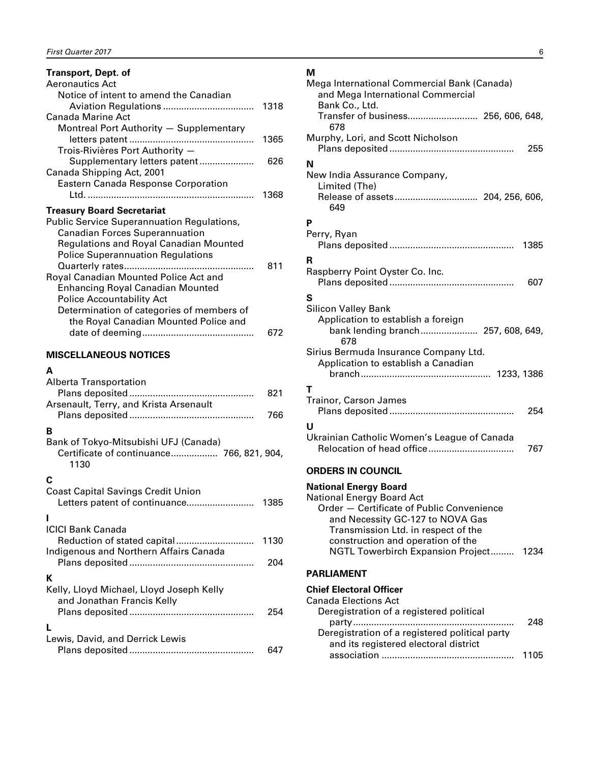#### <span id="page-7-0"></span>**Transport, Dept. of**

| Aeronautics Act                                   |      |
|---------------------------------------------------|------|
| Notice of intent to amend the Canadian            |      |
|                                                   | 1318 |
| Canada Marine Act                                 |      |
| Montreal Port Authority - Supplementary           |      |
|                                                   | 1365 |
| Trois-Rivières Port Authority -                   |      |
| Supplementary letters patent                      | 626  |
| Canada Shipping Act, 2001                         |      |
| Eastern Canada Response Corporation               |      |
|                                                   | 1368 |
| <b>Treasury Board Secretariat</b>                 |      |
| <b>Public Service Superannuation Regulations,</b> |      |
| <b>Canadian Forces Superannuation</b>             |      |
| Regulations and Royal Canadian Mounted            |      |
| <b>Police Superannuation Regulations</b>          |      |
| Quarterly rates                                   | 811  |
| Royal Canadian Mounted Police Act and             |      |
|                                                   |      |
| <b>Enhancing Royal Canadian Mounted</b>           |      |
| <b>Police Accountability Act</b>                  |      |
| Determination of categories of members of         |      |
| the Royal Canadian Mounted Police and             |      |
|                                                   | 672  |
|                                                   |      |

#### **MISCELLANEOUS NOTICES**

#### **A**

| Alberta Transportation                                                                            | 821  |
|---------------------------------------------------------------------------------------------------|------|
| Arsenault, Terry, and Krista Arsenault                                                            | 766  |
| B                                                                                                 |      |
| Bank of Tokyo-Mitsubishi UFJ (Canada)<br>Certificate of continuance 766, 821, 904,<br>1130        |      |
| С                                                                                                 |      |
| <b>Coast Capital Savings Credit Union</b><br>Letters patent of continuance                        | 1385 |
|                                                                                                   |      |
| <b>ICICI Bank Canada</b><br>Reduction of stated capital<br>Indigenous and Northern Affairs Canada | 1130 |
|                                                                                                   | 204  |
| К                                                                                                 |      |
| Kelly, Lloyd Michael, Lloyd Joseph Kelly<br>and Jonathan Francis Kelly                            | 254  |
|                                                                                                   |      |
| Lewis, David, and Derrick Lewis                                                                   | 647  |

#### **M**

| Mega International Commercial Bank (Canada)<br>and Mega International Commercial<br>Bank Co., Ltd.<br>Transfer of business 256, 606, 648,                                                |
|------------------------------------------------------------------------------------------------------------------------------------------------------------------------------------------|
| 678<br>Murphy, Lori, and Scott Nicholson                                                                                                                                                 |
| 255                                                                                                                                                                                      |
| N<br>New India Assurance Company,<br>Limited (The)<br>649                                                                                                                                |
| P                                                                                                                                                                                        |
| Perry, Ryan<br>1385                                                                                                                                                                      |
| R<br>Raspberry Point Oyster Co. Inc.<br>607                                                                                                                                              |
| S                                                                                                                                                                                        |
| <b>Silicon Valley Bank</b><br>Application to establish a foreign<br>bank lending branch 257, 608, 649,<br>678                                                                            |
| Sirius Bermuda Insurance Company Ltd.<br>Application to establish a Canadian                                                                                                             |
| т                                                                                                                                                                                        |
| Trainor, Carson James<br>254                                                                                                                                                             |
| U                                                                                                                                                                                        |
| Ukrainian Catholic Women's League of Canada<br>767                                                                                                                                       |
| <b>ORDERS IN COUNCIL</b>                                                                                                                                                                 |
| <b>National Energy Board</b><br><b>National Energy Board Act</b><br>Order - Certificate of Public Convenience<br>and Necessity GC-127 to NOVA Gas<br>Transmission Ltd. in respect of the |

#### **PARLIAMENT**

# **Chief Electoral Officer**

| <b>Canada Elections Act</b>                    |      |
|------------------------------------------------|------|
| Deregistration of a registered political       |      |
|                                                | 248  |
| Deregistration of a registered political party |      |
| and its registered electoral district          |      |
|                                                | 1105 |

NGTL Towerbirch Expansion Project......... 1234

construction and operation of the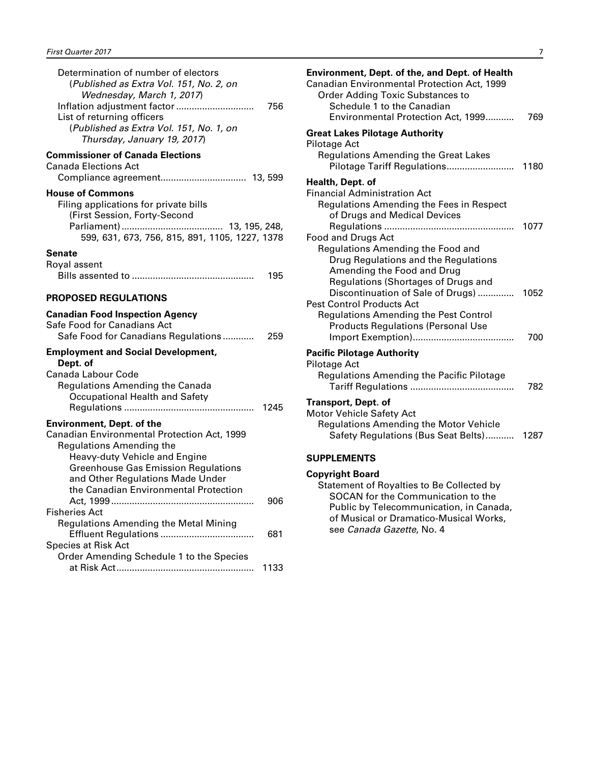<span id="page-8-0"></span>

| Determination of number of electors<br>(Published as Extra Vol. 151, No. 2, on<br>Wednesday, March 1, 2017)<br>Inflation adjustment factor<br>List of returning officers<br>(Published as Extra Vol. 151, No. 1, on<br>Thursday, January 19, 2017)                             | 756  |
|--------------------------------------------------------------------------------------------------------------------------------------------------------------------------------------------------------------------------------------------------------------------------------|------|
| <b>Commissioner of Canada Elections</b><br><b>Canada Elections Act</b>                                                                                                                                                                                                         |      |
| <b>House of Commons</b><br>Filing applications for private bills<br>(First Session, Forty-Second<br>599, 631, 673, 756, 815, 891, 1105, 1227, 1378                                                                                                                             |      |
| Senate<br>Royal assent                                                                                                                                                                                                                                                         | 195  |
| <b>PROPOSED REGULATIONS</b>                                                                                                                                                                                                                                                    |      |
| <b>Canadian Food Inspection Agency</b><br>Safe Food for Canadians Act<br>Safe Food for Canadians Regulations                                                                                                                                                                   | 259  |
| <b>Employment and Social Development,</b><br>Dept. of<br>Canada Labour Code<br><b>Regulations Amending the Canada</b><br>Occupational Health and Safety                                                                                                                        | 1245 |
| <b>Environment, Dept. of the</b><br>Canadian Environmental Protection Act, 1999<br><b>Regulations Amending the</b><br>Heavy-duty Vehicle and Engine<br><b>Greenhouse Gas Emission Regulations</b><br>and Other Regulations Made Under<br>the Canadian Environmental Protection |      |
| <b>Fisheries Act</b>                                                                                                                                                                                                                                                           | 906  |
| <b>Regulations Amending the Metal Mining</b>                                                                                                                                                                                                                                   | 681  |
| <b>Species at Risk Act</b><br>Order Amending Schedule 1 to the Species                                                                                                                                                                                                         | 1133 |

| Environment, Dept. of the, and Dept. of Health<br>Canadian Environmental Protection Act, 1999<br><b>Order Adding Toxic Substances to</b><br>Schedule 1 to the Canadian<br>Environmental Protection Act, 1999 | 769         |
|--------------------------------------------------------------------------------------------------------------------------------------------------------------------------------------------------------------|-------------|
| <b>Great Lakes Pilotage Authority</b><br>Pilotage Act<br><b>Regulations Amending the Great Lakes</b><br>Pilotage Tariff Regulations                                                                          | 1180        |
| Health, Dept. of<br><b>Financial Administration Act</b><br>Regulations Amending the Fees in Respect<br>of Drugs and Medical Devices                                                                          |             |
| <b>Food and Drugs Act</b><br>Regulations Amending the Food and<br>Drug Regulations and the Regulations<br>Amending the Food and Drug<br>Regulations (Shortages of Drugs and                                  | 1077        |
| Discontinuation of Sale of Drugs)<br><b>Pest Control Products Act</b><br><b>Regulations Amending the Pest Control</b><br><b>Products Regulations (Personal Use</b>                                           | 1052<br>700 |
| <b>Pacific Pilotage Authority</b>                                                                                                                                                                            |             |
| <b>Pilotage Act</b><br>Regulations Amending the Pacific Pilotage                                                                                                                                             | 782         |
| <b>Transport, Dept. of</b><br><b>Motor Vehicle Safety Act</b><br><b>Regulations Amending the Motor Vehicle</b><br>Safety Regulations (Bus Seat Belts)                                                        | 1287        |
| <b>SUPPLEMENTS</b>                                                                                                                                                                                           |             |
| <b>Copyright Board</b><br>Statement of Royalties to Be Collected by<br>SOCAN for the Communication to the                                                                                                    |             |

SOCAN for the Communication to the Public by Telecommunication, in Canada, of Musical or Dramatico-Musical Works, see *Canada Gazette*, No. 4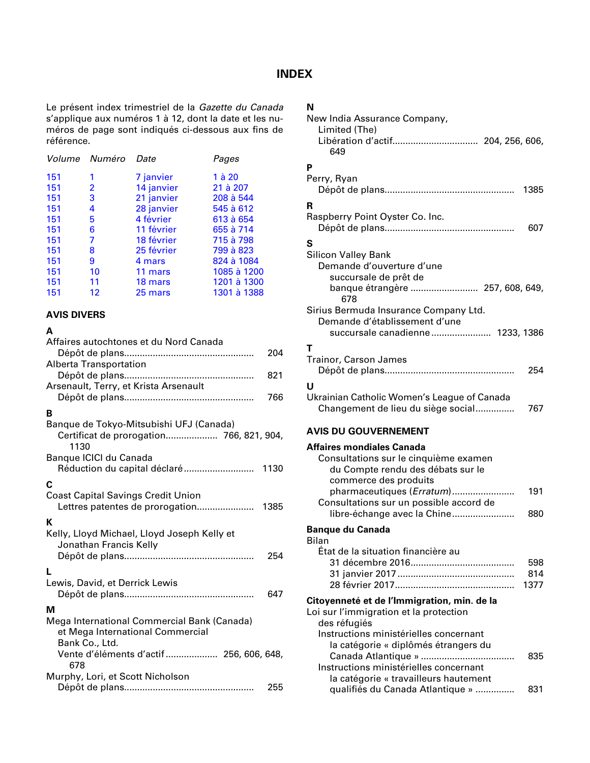#### **INDEX**

<span id="page-9-0"></span>Le présent index trimestriel de la *Gazette du Canada*  s'applique aux numéros 1 à 12, dont la date et les numéros de page sont indiqués ci-dessous aux fins de référence.

|     | Volume Numéro  | Date       | Pages       |
|-----|----------------|------------|-------------|
| 151 | 1              | 7 janvier  | $1$ à $20$  |
| 151 | $\overline{2}$ | 14 janvier | 21 à 207    |
| 151 | 3              | 21 janvier | 208 à 544   |
| 151 | 4              | 28 janvier | 545 à 612   |
| 151 | 5              | 4 février  | 613 à 654   |
| 151 | 6              | 11 février | 655 à 714   |
| 151 | 7              | 18 février | 715 à 798   |
| 151 | 8              | 25 février | 799 à 823   |
| 151 | 9              | 4 mars     | 824 à 1084  |
| 151 | 10             | 11 mars    | 1085 à 1200 |
| 151 | 11             | 18 mars    | 1201 à 1300 |
| 151 | 12             | 25 mars    | 1301 à 1388 |

#### **AVIS DIVERS**

#### **A**

| Affaires autochtones et du Nord Canada      |      |
|---------------------------------------------|------|
|                                             | 204  |
| <b>Alberta Transportation</b>               |      |
|                                             | 821  |
| Arsenault, Terry, et Krista Arsenault       | 766  |
|                                             |      |
| B                                           |      |
| Banque de Tokyo-Mitsubishi UFJ (Canada)     |      |
| 1130                                        |      |
| Banque ICICI du Canada                      |      |
| Réduction du capital déclaré                | 1130 |
| C                                           |      |
| <b>Coast Capital Savings Credit Union</b>   |      |
| Lettres patentes de prorogation             | 1385 |
| К                                           |      |
| Kelly, Lloyd Michael, Lloyd Joseph Kelly et |      |
| Jonathan Francis Kelly                      |      |
|                                             | 254  |
|                                             |      |
| L                                           |      |
| Lewis, David, et Derrick Lewis              |      |
|                                             | 647  |
| м                                           |      |
| Mega International Commercial Bank (Canada) |      |
| et Mega International Commercial            |      |
| Bank Co., Ltd.                              |      |
| Vente d'éléments d'actif  256, 606, 648,    |      |
| 678                                         |      |
| Murphy, Lori, et Scott Nicholson            |      |
|                                             | 255  |

### **N**

| New India Assurance Company,                |            |
|---------------------------------------------|------------|
| Limited (The)                               |            |
| Libération d'actif 204, 256, 606,           |            |
| 649                                         |            |
| P                                           |            |
| Perry, Ryan                                 |            |
|                                             | 1385       |
|                                             |            |
| R                                           |            |
| Raspberry Point Oyster Co. Inc.             |            |
|                                             | 607        |
| S                                           |            |
| <b>Silicon Valley Bank</b>                  |            |
| Demande d'ouverture d'une                   |            |
| succursale de prêt de                       |            |
| banque étrangère  257, 608, 649,<br>678     |            |
| Sirius Bermuda Insurance Company Ltd.       |            |
| Demande d'établissement d'une               |            |
| succursale canadienne 1233, 1386            |            |
| т                                           |            |
| <b>Trainor, Carson James</b>                |            |
|                                             | 254        |
|                                             |            |
| U                                           |            |
| Ukrainian Catholic Women's League of Canada |            |
| Changement de lieu du siège social          | 767        |
| <b>AVIS DU GOUVERNEMENT</b>                 |            |
| <b>Affaires mondiales Canada</b>            |            |
| Consultations sur le cinquième examen       |            |
| du Compte rendu des débats sur le           |            |
| commerce des produits                       |            |
| pharmaceutiques (Erratum)<br>.              | 191        |
| Consultations sur un possible accord de     |            |
| libre-échange avec la Chine                 | 880        |
|                                             |            |
| <b>Banque du Canada</b>                     |            |
| <b>Bilan</b>                                |            |
| État de la situation financière au          |            |
|                                             | 598<br>814 |
|                                             | 1377       |
|                                             |            |
| Citoyenneté et de l'Immigration, min. de la |            |
| Loi sur l'immigration et la protection      |            |
| des réfugiés                                |            |
| Instructions ministérielles concernant      |            |
| la catégorie « diplômés étrangers du        |            |
|                                             | 835        |
| Instructions ministérielles concernant      |            |
| la catégorie « travailleurs hautement       |            |

qualifiés du Canada Atlantique » ............... 831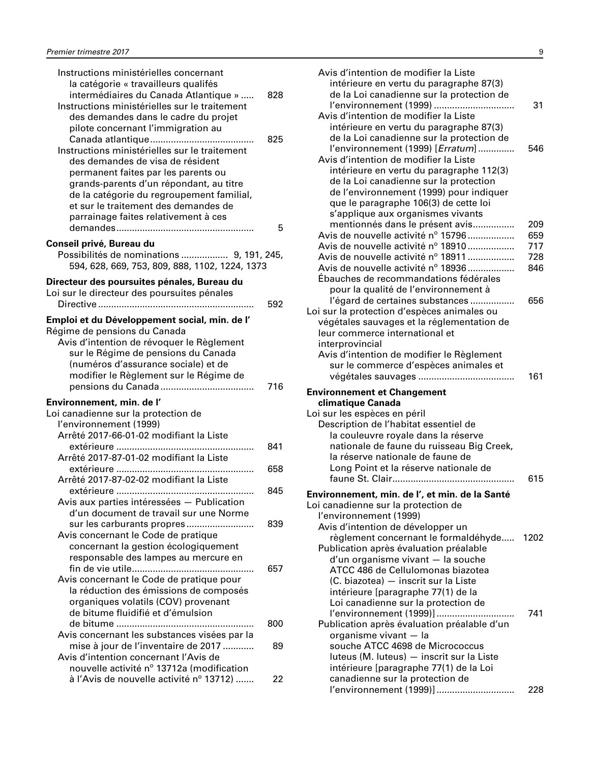| Instructions ministérielles concernant<br>la catégorie « travailleurs qualifés<br>intermédiaires du Canada Atlantique »<br>Instructions ministérielles sur le traitement<br>des demandes dans le cadre du projet<br>pilote concernant l'immigration au<br>Instructions ministérielles sur le traitement<br>des demandes de visa de résident<br>permanent faites par les parents ou<br>grands-parents d'un répondant, au titre<br>de la catégorie du regroupement familial, | 828<br>825 |
|----------------------------------------------------------------------------------------------------------------------------------------------------------------------------------------------------------------------------------------------------------------------------------------------------------------------------------------------------------------------------------------------------------------------------------------------------------------------------|------------|
| et sur le traitement des demandes de<br>parrainage faites relativement à ces                                                                                                                                                                                                                                                                                                                                                                                               | 5          |
| Conseil privé, Bureau du<br>Possibilités de nominations  9, 191, 245,<br>594, 628, 669, 753, 809, 888, 1102, 1224, 1373                                                                                                                                                                                                                                                                                                                                                    |            |
| Directeur des poursuites pénales, Bureau du<br>Loi sur le directeur des poursuites pénales                                                                                                                                                                                                                                                                                                                                                                                 | 592        |
| Emploi et du Développement social, min. de l'<br>Régime de pensions du Canada<br>Avis d'intention de révoquer le Règlement<br>sur le Régime de pensions du Canada<br>(numéros d'assurance sociale) et de<br>modifier le Règlement sur le Régime de                                                                                                                                                                                                                         | 716        |
| Environnement, min. de l'<br>Loi canadienne sur la protection de<br>l'environnement (1999)<br>Arrêté 2017-66-01-02 modifiant la Liste                                                                                                                                                                                                                                                                                                                                      |            |
| Arrêté 2017-87-01-02 modifiant la Liste                                                                                                                                                                                                                                                                                                                                                                                                                                    | 841        |
| Arrêté 2017-87-02-02 modifiant la Liste                                                                                                                                                                                                                                                                                                                                                                                                                                    | 658        |
| Avis aux parties intéressées - Publication<br>d'un document de travail sur une Norme                                                                                                                                                                                                                                                                                                                                                                                       | 845        |
| sur les carburants propres<br>Avis concernant le Code de pratique<br>concernant la gestion écologiquement<br>responsable des lampes au mercure en                                                                                                                                                                                                                                                                                                                          | 839        |
| Avis concernant le Code de pratique pour<br>la réduction des émissions de composés<br>organiques volatils (COV) provenant<br>de bitume fluidifié et d'émulsion                                                                                                                                                                                                                                                                                                             | 657        |
| Avis concernant les substances visées par la                                                                                                                                                                                                                                                                                                                                                                                                                               | 800        |
| mise à jour de l'inventaire de 2017<br>Avis d'intention concernant l'Avis de<br>nouvelle activité nº 13712a (modification                                                                                                                                                                                                                                                                                                                                                  | 89         |
| à l'Avis de nouvelle activité nº 13712)                                                                                                                                                                                                                                                                                                                                                                                                                                    | 22         |

| Avis d'intention de modifier la Liste                                            |     |
|----------------------------------------------------------------------------------|-----|
| intérieure en vertu du paragraphe 87(3)                                          |     |
| de la Loi canadienne sur la protection de                                        |     |
| l'environnement (1999)                                                           | 31  |
| Avis d'intention de modifier la Liste                                            |     |
| intérieure en vertu du paragraphe 87(3)                                          |     |
| de la Loi canadienne sur la protection de                                        |     |
| l'environnement (1999) [Erratum]                                                 | 546 |
| Avis d'intention de modifier la Liste                                            |     |
| intérieure en vertu du paragraphe 112(3)                                         |     |
| de la Loi canadienne sur la protection                                           |     |
| de l'environnement (1999) pour indiquer                                          |     |
| que le paragraphe 106(3) de cette loi                                            |     |
| s'applique aux organismes vivants                                                |     |
| mentionnés dans le présent avis                                                  | 209 |
| Avis de nouvelle activité nº 15796                                               | 659 |
| Avis de nouvelle activité nº 18910                                               | 717 |
| Avis de nouvelle activité nº 18911                                               | 728 |
| Avis de nouvelle activité nº 18936                                               | 846 |
| Ébauches de recommandations fédérales                                            |     |
| pour la qualité de l'environnement à                                             |     |
| l'égard de certaines substances                                                  | 656 |
| Loi sur la protection d'espèces animales ou                                      |     |
| végétales sauvages et la réglementation de                                       |     |
| leur commerce international et<br>interprovincial                                |     |
| Avis d'intention de modifier le Règlement                                        |     |
| sur le commerce d'espèces animales et                                            |     |
|                                                                                  | 161 |
|                                                                                  |     |
| <b>Environnement et Changement</b>                                               |     |
| climatique Canada                                                                |     |
| Loi sur les espèces en péril                                                     |     |
| Description de l'habitat essentiel de                                            |     |
| la couleuvre royale dans la réserve<br>nationale de faune du ruisseau Big Creek, |     |
| la réserve nationale de faune de                                                 |     |
| Long Point et la réserve nationale de                                            |     |
|                                                                                  | 615 |
|                                                                                  |     |
| Environnement, min. de l', et min. de la Santé                                   |     |
| Loi canadienne sur la protection de                                              |     |
| l'environnement (1999)                                                           |     |
| Avis d'intention de développer un<br>règlement concernant le formaldéhyde 1202   |     |
| Publication après évaluation préalable                                           |     |
| d'un organisme vivant - la souche                                                |     |
| ATCC 486 de Cellulomonas biazotea                                                |     |
| (C. biazotea) - inscrit sur la Liste                                             |     |
| intérieure [paragraphe 77(1) de la                                               |     |
| Loi canadienne sur la protection de                                              |     |
| l'environnement (1999)]                                                          | 741 |
| Publication après évaluation préalable d'un                                      |     |
| organisme vivant - la                                                            |     |
| souche ATCC 4698 de Micrococcus                                                  |     |
| luteus (M. luteus) - inscrit sur la Liste                                        |     |
| intérieure [paragraphe 77(1) de la Loi                                           |     |
| canadienne sur la protection de                                                  |     |
| l'environnement (1999)]                                                          | 228 |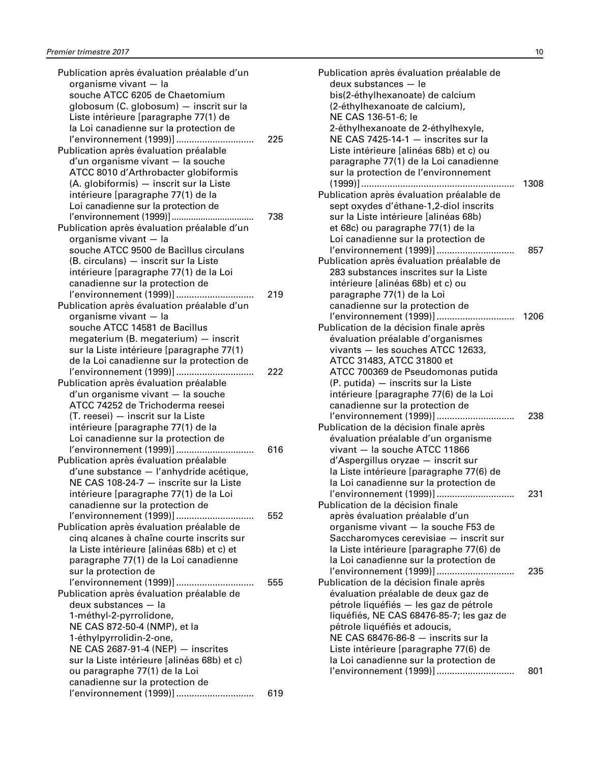| Publication après évaluation préalable d'un    |     |
|------------------------------------------------|-----|
| organisme vivant - la                          |     |
| souche ATCC 6205 de Chaetomium                 |     |
| globosum (C. globosum) - inscrit sur la        |     |
| Liste intérieure [paragraphe 77(1) de          |     |
| la Loi canadienne sur la protection de         |     |
| l'environnement (1999)]                        | 225 |
| Publication après évaluation préalable         |     |
| d'un organisme vivant - la souche              |     |
| ATCC 8010 d'Arthrobacter globiformis           |     |
| (A. globiformis) - inscrit sur la Liste        |     |
| intérieure [paragraphe 77(1) de la             |     |
| Loi canadienne sur la protection de            |     |
| l'environnement (1999)]                        | 738 |
| Publication après évaluation préalable d'un    |     |
| organisme vivant - la                          |     |
| souche ATCC 9500 de Bacillus circulans         |     |
|                                                |     |
| (B. circulans) - inscrit sur la Liste          |     |
| intérieure [paragraphe 77(1) de la Loi         |     |
| canadienne sur la protection de                |     |
| l'environnement (1999)]                        | 219 |
| Publication après évaluation préalable d'un    |     |
| organisme vivant - la                          |     |
| souche ATCC 14581 de Bacillus                  |     |
| megaterium (B. megaterium) - inscrit           |     |
| sur la Liste intérieure [paragraphe 77(1)      |     |
| de la Loi canadienne sur la protection de      |     |
| l'environnement (1999)]                        | 222 |
| Publication après évaluation préalable         |     |
| d'un organisme vivant - la souche              |     |
| ATCC 74252 de Trichoderma reesei               |     |
| (T. reesei) - inscrit sur la Liste             |     |
| intérieure [paragraphe 77(1) de la             |     |
| Loi canadienne sur la protection de            |     |
| l'environnement (1999)]                        | 616 |
| Publication après évaluation préalable         |     |
| d'une substance - l'anhydride acétique,        |     |
| NE CAS 108-24-7 - inscrite sur la Liste        |     |
| intérieure [paragraphe 77(1) de la Loi         |     |
| canadienne sur la protection de                |     |
| l'environnement (1999)]                        | 552 |
| Publication après évaluation préalable de      |     |
| cinq alcanes à chaîne courte inscrits sur      |     |
| la Liste intérieure [alinéas 68b) et c) et     |     |
| paragraphe 77(1) de la Loi canadienne          |     |
| sur la protection de                           |     |
| l'environnement (1999)]                        | 555 |
| .<br>Publication après évaluation préalable de |     |
| deux substances - la                           |     |
| 1-méthyl-2-pyrrolidone,                        |     |
|                                                |     |
| NE CAS 872-50-4 (NMP), et la                   |     |
| 1-éthylpyrrolidin-2-one,                       |     |
| NE CAS 2687-91-4 (NEP) - inscrites             |     |
| sur la Liste intérieure [alinéas 68b) et c)    |     |
| ou paragraphe 77(1) de la Loi                  |     |
| canadienne sur la protection de                |     |
| l'environnement (1999)]                        | 619 |

| Publication après évaluation préalable de                                          |      |
|------------------------------------------------------------------------------------|------|
| deux substances - le                                                               |      |
| bis(2-éthylhexanoate) de calcium                                                   |      |
| (2-éthylhexanoate de calcium),                                                     |      |
| NE CAS 136-51-6; le                                                                |      |
| 2-éthylhexanoate de 2-éthylhexyle,<br>NE CAS 7425-14-1 - inscrites sur la          |      |
| Liste intérieure [alinéas 68b) et c) ou                                            |      |
| paragraphe 77(1) de la Loi canadienne                                              |      |
| sur la protection de l'environnement                                               |      |
| $(1999)]$                                                                          | 1308 |
| Publication après évaluation préalable de                                          |      |
| sept oxydes d'éthane-1,2-diol inscrits                                             |      |
| sur la Liste intérieure [alinéas 68b)                                              |      |
| et 68c) ou paragraphe 77(1) de la                                                  |      |
| Loi canadienne sur la protection de                                                |      |
| l'environnement (1999)]                                                            | 857  |
| Publication après évaluation préalable de<br>283 substances inscrites sur la Liste |      |
| intérieure [alinéas 68b) et c) ou                                                  |      |
| paragraphe 77(1) de la Loi                                                         |      |
| canadienne sur la protection de                                                    |      |
| l'environnement (1999)]                                                            | 1206 |
| Publication de la décision finale après                                            |      |
| évaluation préalable d'organismes                                                  |      |
| vivants - les souches ATCC 12633,                                                  |      |
| ATCC 31483, ATCC 31800 et                                                          |      |
| ATCC 700369 de Pseudomonas putida                                                  |      |
| (P. putida) - inscrits sur la Liste                                                |      |
| intérieure [paragraphe 77(6) de la Loi                                             |      |
| canadienne sur la protection de<br>l'environnement (1999)]                         | 238  |
| Publication de la décision finale après                                            |      |
| évaluation préalable d'un organisme                                                |      |
| vivant - la souche ATCC 11866                                                      |      |
| d'Aspergillus oryzae - inscrit sur                                                 |      |
| la Liste intérieure [paragraphe 77(6) de                                           |      |
| la Loi canadienne sur la protection de                                             |      |
| l'environnement (1999)]                                                            | 231  |
| Publication de la décision finale                                                  |      |
| après évaluation préalable d'un                                                    |      |
| organisme vivant - la souche F53 de                                                |      |
| Saccharomyces cerevisiae - inscrit sur<br>la Liste intérieure [paragraphe 77(6) de |      |
| la Loi canadienne sur la protection de                                             |      |
| l'environnement (1999)]                                                            | 235  |
| Publication de la décision finale après                                            |      |
| évaluation préalable de deux gaz de                                                |      |
| pétrole liquéfiés - les gaz de pétrole                                             |      |
| liquéfiés, NE CAS 68476-85-7; les gaz de                                           |      |
| pétrole liquéfiés et adoucis,                                                      |      |
| NE CAS 68476-86-8 - inscrits sur la                                                |      |
| Liste intérieure [paragraphe 77(6) de                                              |      |
| la Loi canadienne sur la protection de<br>l'environnement (1999)]                  | 801  |
|                                                                                    |      |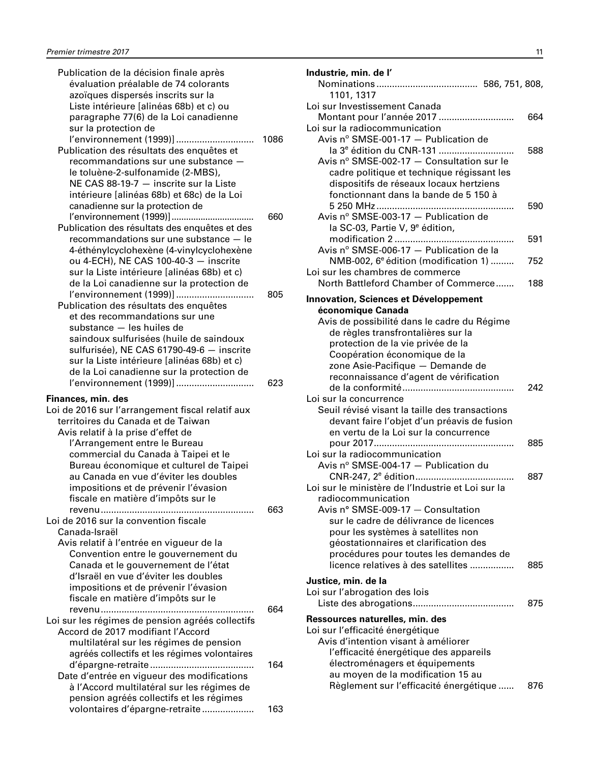| Publication de la décision finale après<br>évaluation préalable de 74 colorants<br>azoïques dispersés inscrits sur la<br>Liste intérieure [alinéas 68b) et c) ou<br>paragraphe 77(6) de la Loi canadienne               |      |
|-------------------------------------------------------------------------------------------------------------------------------------------------------------------------------------------------------------------------|------|
| sur la protection de<br>l'environnement (1999)]<br>Publication des résultats des enquêtes et                                                                                                                            | 1086 |
| recommandations sur une substance -<br>le toluène-2-sulfonamide (2-MBS),<br>NE CAS 88-19-7 - inscrite sur la Liste<br>intérieure [alinéas 68b) et 68c) de la Loi<br>canadienne sur la protection de                     |      |
| Publication des résultats des enquêtes et des                                                                                                                                                                           | 660  |
| recommandations sur une substance - le<br>4-éthénylcyclohexène (4-vinylcyclohexène<br>ou 4-ECH), NE CAS 100-40-3 - inscrite<br>sur la Liste intérieure [alinéas 68b) et c)<br>de la Loi canadienne sur la protection de |      |
| l'environnement (1999)]<br>Publication des résultats des enquêtes                                                                                                                                                       | 805  |
| et des recommandations sur une<br>substance - les huiles de                                                                                                                                                             |      |
| saindoux sulfurisées (huile de saindoux<br>sulfurisée), NE CAS 61790-49-6 - inscrite<br>sur la Liste intérieure [alinéas 68b) et c)                                                                                     |      |
| de la Loi canadienne sur la protection de<br>l'environnement (1999)]                                                                                                                                                    | 623  |
| Finances, min. des<br>Loi de 2016 sur l'arrangement fiscal relatif aux                                                                                                                                                  |      |
| territoires du Canada et de Taiwan<br>Avis relatif à la prise d'effet de                                                                                                                                                |      |
| l'Arrangement entre le Bureau                                                                                                                                                                                           |      |
| commercial du Canada à Taipei et le<br>Bureau économique et culturel de Taipei<br>au Canada en vue d'éviter les doubles                                                                                                 |      |
| impositions et de prévenir l'évasion<br>fiscale en matière d'impôts sur le                                                                                                                                              |      |
| revenu<br>Loi de 2016 sur la convention fiscale                                                                                                                                                                         | 663  |
| Canada-Israël                                                                                                                                                                                                           |      |
| Avis relatif à l'entrée en vigueur de la<br>Convention entre le gouvernement du                                                                                                                                         |      |
| Canada et le gouvernement de l'état                                                                                                                                                                                     |      |
| d'Israël en vue d'éviter les doubles<br>impositions et de prévenir l'évasion                                                                                                                                            |      |
| fiscale en matière d'impôts sur le                                                                                                                                                                                      |      |
| revenu<br>Loi sur les régimes de pension agréés collectifs                                                                                                                                                              | 664  |
| Accord de 2017 modifiant l'Accord                                                                                                                                                                                       |      |
| multilatéral sur les régimes de pension<br>agréés collectifs et les régimes volontaires                                                                                                                                 |      |
| Date d'entrée en vigueur des modifications                                                                                                                                                                              | 164  |
| à l'Accord multilatéral sur les régimes de                                                                                                                                                                              |      |
| pension agréés collectifs et les régimes<br>volontaires d'épargne-retraite                                                                                                                                              | 163  |
|                                                                                                                                                                                                                         |      |

| Industrie, min. de l'                                                                |     |
|--------------------------------------------------------------------------------------|-----|
| 1101, 1317                                                                           |     |
| Loi sur Investissement Canada                                                        |     |
| Montant pour l'année 2017                                                            | 664 |
| Loi sur la radiocommunication                                                        |     |
| Avis $n^{\circ}$ SMSE-001-17 - Publication de                                        |     |
| la 3 <sup>e</sup> édition du CNR-131                                                 | 588 |
| Avis nº SMSE-002-17 - Consultation sur le                                            |     |
| cadre politique et technique régissant les                                           |     |
| dispositifs de réseaux locaux hertziens                                              |     |
| fonctionnant dans la bande de 5 150 à                                                |     |
|                                                                                      | 590 |
| Avis nº SMSE-003-17 - Publication de                                                 |     |
| la SC-03, Partie V, 9 <sup>e</sup> édition,                                          |     |
| Avis nº SMSE-006-17 - Publication de la                                              | 591 |
| NMB-002, 6 <sup>e</sup> édition (modification 1)                                     | 752 |
| Loi sur les chambres de commerce                                                     |     |
| North Battleford Chamber of Commerce                                                 | 188 |
| <b>Innovation, Sciences et Développement</b>                                         |     |
| économique Canada                                                                    |     |
| Avis de possibilité dans le cadre du Régime                                          |     |
| de règles transfrontalières sur la                                                   |     |
| protection de la vie privée de la                                                    |     |
| Coopération économique de la                                                         |     |
| zone Asie-Pacifique - Demande de                                                     |     |
| reconnaissance d'agent de vérification                                               |     |
|                                                                                      | 242 |
| Loi sur la concurrence                                                               |     |
| Seuil révisé visant la taille des transactions                                       |     |
| devant faire l'objet d'un préavis de fusion<br>en vertu de la Loi sur la concurrence |     |
|                                                                                      | 885 |
| Loi sur la radiocommunication                                                        |     |
| Avis nº SMSE-004-17 - Publication du                                                 |     |
|                                                                                      | 887 |
| Loi sur le ministère de l'Industrie et Loi sur la                                    |     |
| radiocommunication                                                                   |     |
| Avis n° SMSE-009-17 - Consultation                                                   |     |
| sur le cadre de délivrance de licences                                               |     |
| pour les systèmes à satellites non                                                   |     |
| géostationnaires et clarification des                                                |     |
| procédures pour toutes les demandes de                                               |     |
| licence relatives à des satellites                                                   | 885 |
| Justice, min. de la                                                                  |     |
| Loi sur l'abrogation des lois                                                        |     |
|                                                                                      | 875 |
| Ressources naturelles, min. des                                                      |     |
| Loi sur l'efficacité énergétique                                                     |     |
| Avis d'intention visant à améliorer                                                  |     |
| l'efficacité énergétique des appareils                                               |     |
| électroménagers et équipements                                                       |     |
| au moyen de la modification 15 au                                                    |     |
| Règlement sur l'efficacité énergétique                                               | 876 |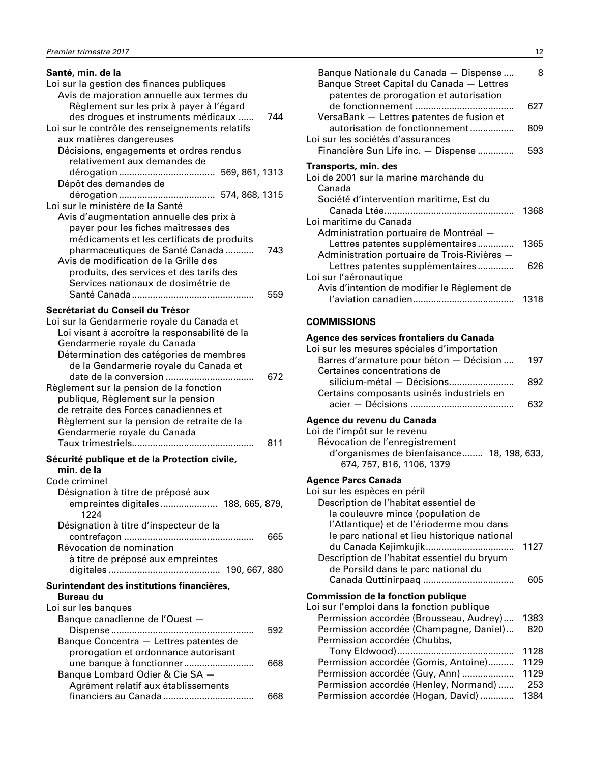<span id="page-13-0"></span>

| Santé, min. de la                               |
|-------------------------------------------------|
| Loi sur la gestion des finances publiques       |
| Avis de majoration annuelle aux termes du       |
| Règlement sur les prix à payer à l'égard        |
| des drogues et instruments médicaux<br>744      |
| Loi sur le contrôle des renseignements relatifs |
| aux matières dangereuses                        |
| Décisions, engagements et ordres rendus         |
| relativement aux demandes de                    |
|                                                 |
| Dépôt des demandes de                           |
|                                                 |
| Loi sur le ministère de la Santé                |
| Avis d'augmentation annuelle des prix à         |
| payer pour les fiches maîtresses des            |
| médicaments et les certificats de produits      |
| 743                                             |
| pharmaceutiques de Santé Canada                 |
| Avis de modification de la Grille des           |
| produits, des services et des tarifs des        |
| Services nationaux de dosimétrie de             |
| 559                                             |
| Secrétariat du Conseil du Trésor                |
| Loi sur la Gendarmerie royale du Canada et      |
| Loi visant à accroître la responsabilité de la  |
| Gendarmerie royale du Canada                    |
| Détermination des catégories de membres         |
| de la Gendarmerie royale du Canada et           |
| date de la conversion<br>672                    |
|                                                 |
| Règlement sur la pension de la fonction         |
| publique, Règlement sur la pension              |
| de retraite des Forces canadiennes et           |
| Règlement sur la pension de retraite de la      |
| Gendarmerie royale du Canada                    |
| Taux trimestriels<br>811                        |
| Sécurité publique et de la Protection civile,   |
| min. de la                                      |
| Code criminel                                   |
| Désignation à titre de préposé aux              |
| empreintes digitales 188, 665, 879,             |
| 1224                                            |
|                                                 |
| Désignation à titre d'inspecteur de la          |
| 665                                             |
| Révocation de nomination                        |
| à titre de préposé aux empreintes               |
|                                                 |
| Surintendant des institutions financières.      |
| Bureau du                                       |
| Loi sur les banques                             |
| Banque canadienne de l'Ouest -                  |
| 592                                             |
| Banque Concentra - Lettres patentes de          |
|                                                 |
| prorogation et ordonnance autorisant<br>668     |
| une banque à fonctionner                        |
| Banque Lombard Odier & Cie SA -                 |
| Agrément relatif aux établissements             |
| 668                                             |

| Banque Nationale du Canada - Dispense<br>Banque Street Capital du Canada - Lettres<br>patentes de prorogation et autorisation | 8    |
|-------------------------------------------------------------------------------------------------------------------------------|------|
| VersaBank - Lettres patentes de fusion et                                                                                     | 627  |
| autorisation de fonctionnement<br>Loi sur les sociétés d'assurances                                                           | 809  |
| Financière Sun Life inc. - Dispense                                                                                           | 593  |
| Transports, min. des                                                                                                          |      |
| Loi de 2001 sur la marine marchande du<br>Canada                                                                              |      |
| Société d'intervention maritime, Est du                                                                                       | 1368 |
| Loi maritime du Canada                                                                                                        |      |
| Administration portuaire de Montréal -<br>Lettres patentes supplémentaires<br>Administration portuaire de Trois-Rivières -    | 1365 |
| Lettres patentes supplémentaires                                                                                              | 626  |
| Loi sur l'aéronautique                                                                                                        |      |
| Avis d'intention de modifier le Règlement de                                                                                  | 1318 |
| <b>COMMISSIONS</b>                                                                                                            |      |
| Agence des services frontaliers du Canada<br>Loi sur les mesures spéciales d'importation                                      |      |
| Barres d'armature pour béton - Décision                                                                                       | 197  |

| Barres d'armature pour beton — Décision  197 |     |
|----------------------------------------------|-----|
| Certaines concentrations de                  |     |
| silicium-métal - Décisions                   | 892 |
| Certains composants usinés industriels en    |     |
|                                              | 632 |
|                                              |     |

# **Agence du revenu du Canada**

| Loi de l'impôt sur le revenu               |  |
|--------------------------------------------|--|
| Révocation de l'enregistrement             |  |
| d'organismes de bienfaisance 18, 198, 633, |  |
| 674, 757, 816, 1106, 1379                  |  |
|                                            |  |

#### **Agence Parcs Canada**

| Loi sur les espèces en péril                 |      |
|----------------------------------------------|------|
| Description de l'habitat essentiel de        |      |
| la couleuvre mince (population de            |      |
| l'Atlantique) et de l'érioderme mou dans     |      |
| le parc national et lieu historique national |      |
|                                              | 1127 |
| Description de l'habitat essentiel du bryum  |      |
| de Porsild dans le parc national du          |      |
|                                              | 605  |
| <b>Commission de la fonction publique</b>    |      |
| Loi sur l'emploi dans la fonction publique   |      |
| Permission accordée (Brousseau, Audrey)      | 1383 |
| Permission accordée (Champagne, Daniel)      | 820  |
| Permission accordée (Chubbs,                 |      |
|                                              | 1128 |
| Permission accordée (Gomis, Antoine)         | 1129 |
| Permission accordée (Guy, Ann)               | 1129 |
| Permission accordée (Henley, Normand)        | 253  |
| Permission accordée (Hogan, David)           | 1384 |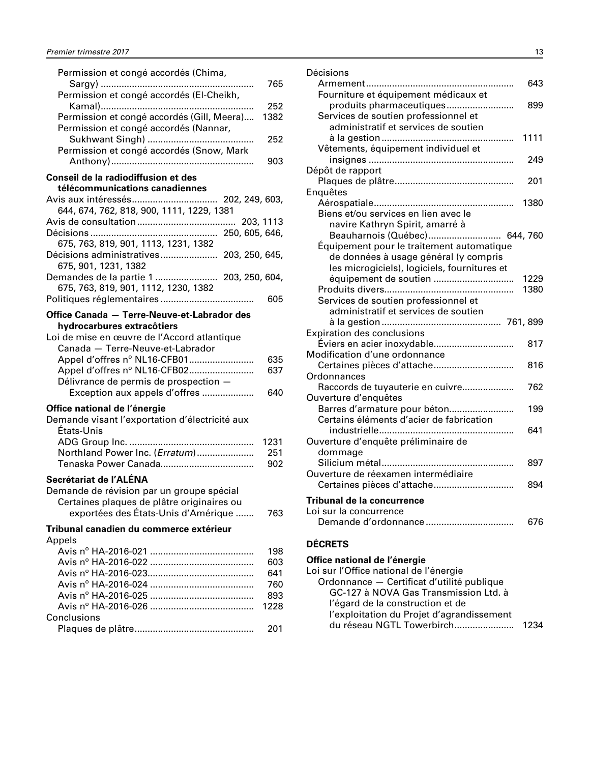<span id="page-14-0"></span>

| Permission et congé accordés (Chima,                                            |             |
|---------------------------------------------------------------------------------|-------------|
|                                                                                 | 765         |
| Permission et congé accordés (El-Cheikh,                                        |             |
| Permission et congé accordés (Gill, Meera)                                      | 252<br>1382 |
| Permission et congé accordés (Nannar,                                           |             |
| Sukhwant Singh)                                                                 | 252         |
| Permission et congé accordés (Snow, Mark                                        |             |
|                                                                                 | 903         |
| Conseil de la radiodiffusion et des                                             |             |
| télécommunications canadiennes                                                  |             |
| 644, 674, 762, 818, 900, 1111, 1229, 1381                                       |             |
|                                                                                 | 203, 1113   |
|                                                                                 |             |
| 675, 763, 819, 901, 1113, 1231, 1382                                            |             |
| Décisions administratives 203, 250, 645,                                        |             |
| 675, 901, 1231, 1382                                                            |             |
| Demandes de la partie 1  203, 250, 604,<br>675, 763, 819, 901, 1112, 1230, 1382 |             |
|                                                                                 | 605         |
|                                                                                 |             |
| Office Canada - Terre-Neuve-et-Labrador des<br>hydrocarbures extracôtiers       |             |
| Loi de mise en œuvre de l'Accord atlantique                                     |             |
| Canada - Terre-Neuve-et-Labrador                                                |             |
| Appel d'offres nº NL16-CFB01                                                    | 635         |
| Appel d'offres nº NL16-CFB02                                                    | 637         |
| Délivrance de permis de prospection -                                           |             |
| Exception aux appels d'offres                                                   | 640         |
| Office national de l'énergie                                                    |             |
| Demande visant l'exportation d'électricité aux                                  |             |
| États-Unis                                                                      | 1231        |
| Northland Power Inc. (Erratum)                                                  | 251         |
|                                                                                 | 902         |
| Secrétariat de l'ALÉNA                                                          |             |
| Demande de révision par un groupe spécial                                       |             |
| Certaines plaques de plâtre originaires ou                                      |             |
| exportées des États-Unis d'Amérique                                             | 763         |
| Tribunal canadien du commerce extérieur                                         |             |
| Appels                                                                          |             |
|                                                                                 | 198         |
|                                                                                 | 603         |
|                                                                                 | 641         |
|                                                                                 | 760         |
|                                                                                 | 893<br>1228 |
| Conclusions                                                                     |             |
|                                                                                 | 201         |
|                                                                                 |             |

| Décisions                                    |      |
|----------------------------------------------|------|
|                                              | 643  |
| Fourniture et équipement médicaux et         |      |
| produits pharmaceutiques                     | 899  |
| Services de soutien professionnel et         |      |
| administratif et services de soutien         |      |
|                                              | 1111 |
| Vêtements, équipement individuel et          |      |
|                                              | 249  |
| Dépôt de rapport                             |      |
|                                              | 201  |
| Enquêtes                                     |      |
|                                              | 1380 |
| Biens et/ou services en lien avec le         |      |
| navire Kathryn Spirit, amarré à              |      |
| Beauharnois (Québec) 644, 760                |      |
| Équipement pour le traitement automatique    |      |
| de données à usage général (y compris        |      |
| les microgiciels), logiciels, fournitures et |      |
| équipement de soutien                        | 1229 |
|                                              | 1380 |
| Services de soutien professionnel et         |      |
| administratif et services de soutien         |      |
|                                              |      |
| <b>Expiration des conclusions</b>            |      |
| Éviers en acier inoxydable                   | 817  |
| Modification d'une ordonnance                |      |
| Certaines pièces d'attache                   | 816  |
| Ordonnances                                  |      |
| Raccords de tuyauterie en cuivre             | 762  |
| Ouverture d'enquêtes                         |      |
| Barres d'armature pour béton                 | 199  |
| Certains éléments d'acier de fabrication     |      |
|                                              | 641  |
| Ouverture d'enquête préliminaire de          |      |
| dommage                                      |      |
|                                              | 897  |
| Ouverture de réexamen intermédiaire          |      |
| Certaines pièces d'attache                   | 894  |
| Tribunal de la concurrence                   |      |
| Loi sur la concurrence                       |      |
| Demande d'ordonnance                         | 676  |
|                                              |      |
| DÉCDETC                                      |      |

#### **DÉCRETS**

#### **Office national de l'énergie**

| Loi sur l'Office national de l'énergie     |      |
|--------------------------------------------|------|
| Ordonnance - Certificat d'utilité publique |      |
| GC-127 à NOVA Gas Transmission Ltd. à      |      |
| l'égard de la construction et de           |      |
| l'exploitation du Projet d'agrandissement  |      |
| du réseau NGTL Towerbirch                  | 1234 |
|                                            |      |